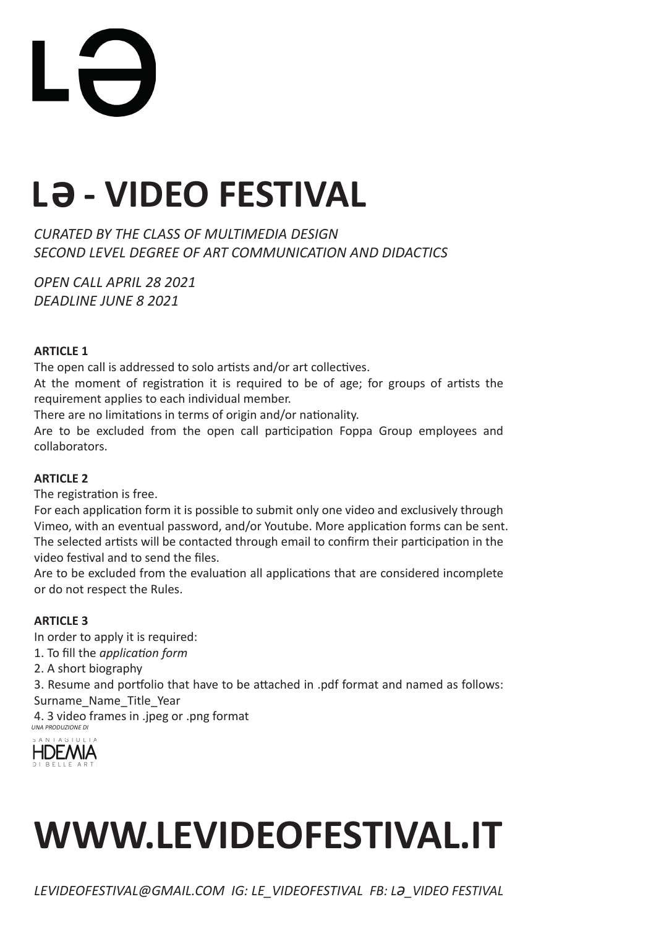

## **La - VIDEO FESTIVAL**

*CURATED BY THE CLASS OF MULTIMEDIA DESIGN SECOND LEVEL DEGREE OF ART COMMUNICATION AND DIDACTICS* 

*OPEN CALL APRIL 28 2021 DEADLINE JUNE 8 2021* 

#### **ARTICLE 1**

The open call is addressed to solo artists and/or art collectives.

At the moment of registration it is required to be of age; for groups of artists the requirement applies to each individual member.

There are no limitations in terms of origin and/or nationality.

Are to be excluded from the open call participation Foppa Group employees and collaborators.

#### **ARTICLE 2**

The registration is free.

For each application form it is possible to submit only one video and exclusively through Vimeo, with an eventual password, and/or Youtube. More application forms can be sent. The selected artists will be contacted through email to confirm their participation in the video festival and to send the files.

Are to be excluded from the evaluation all applications that are considered incomplete or do not respect the Rules.

#### **ARTICLE 3**

In order to apply it is required: 1. To fill the *application form* 2. A short biography 3. Resume and portfolio that have to be attached in .pdf format and named as follows: Surname Name Title Year 4. 3 video frames in .jpeg or .png format *UNA PRODUZIONE DI*



## **WWW.LEVIDEOFESTIVAL.IT**

*LEVIDEOFESTIVAL@GMAIL.COM IG: LE\_VIDEOFESTIVAL FB: Lə\_VIDEO FESTIVAL*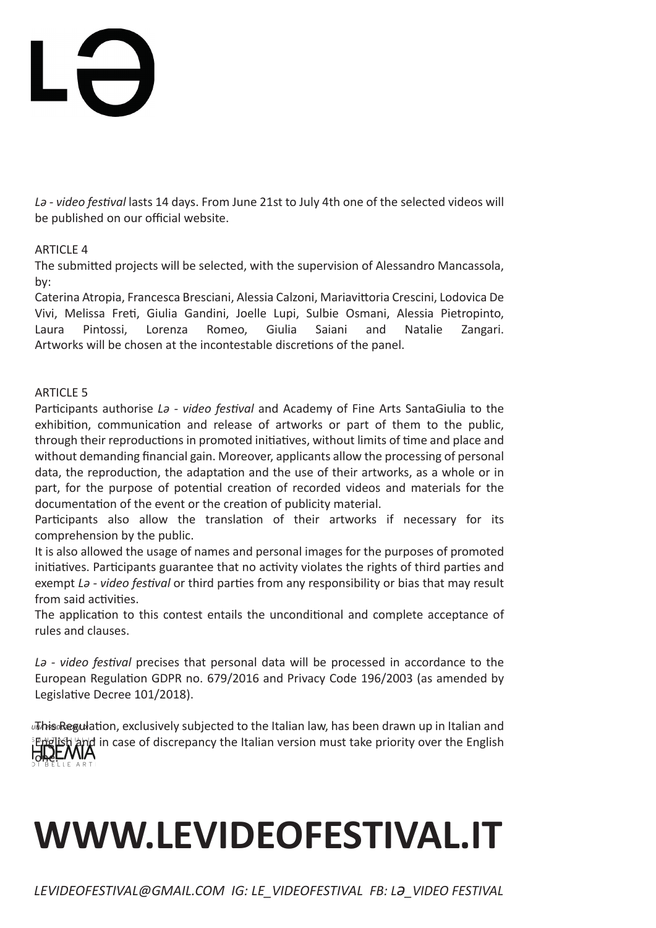# Li

*Lə - video festival* lasts 14 days. From June 21st to July 4th one of the selected videos will be published on our official website.

#### ARTICLE 4

The submitted projects will be selected, with the supervision of Alessandro Mancassola, by:

Caterina Atropia, Francesca Bresciani, Alessia Calzoni, Mariavittoria Crescini, Lodovica De Vivi, Melissa Freti, Giulia Gandini, Joelle Lupi, Sulbie Osmani, Alessia Pietropinto, Laura Pintossi, Lorenza Romeo, Giulia Saiani and Natalie Zangari. Artworks will be chosen at the incontestable discretions of the panel.

#### ARTICLE 5

Participants authorise *Lə - video festival* and Academy of Fine Arts SantaGiulia to the exhibition, communication and release of artworks or part of them to the public, through their reproductions in promoted initiatives, without limits of time and place and without demanding financial gain. Moreover, applicants allow the processing of personal data, the reproduction, the adaptation and the use of their artworks, as a whole or in part, for the purpose of potential creation of recorded videos and materials for the documentation of the event or the creation of publicity material.

Participants also allow the translation of their artworks if necessary for its comprehension by the public.

It is also allowed the usage of names and personal images for the purposes of promoted initiatives. Participants guarantee that no activity violates the rights of third parties and exempt *Lə - video festival* or third parties from any responsibility or bias that may result from said activities.

The application to this contest entails the unconditional and complete acceptance of rules and clauses.

*Lə - video festival* precises that personal data will be processed in accordance to the European Regulation GDPR no. 679/2016 and Privacy Code 196/2003 (as amended by Legislative Decree 101/2018).

*JThis Regulation, exclusively subjected to the Italian law, has been drawn up in Italian and*  $\phi$  in case of discrepancy the Italian version must take priority over the English one.

## **WWW.LEVIDEOFESTIVAL.IT**

*LEVIDEOFESTIVAL@GMAIL.COM IG: LE\_VIDEOFESTIVAL FB: Lə\_VIDEO FESTIVAL*